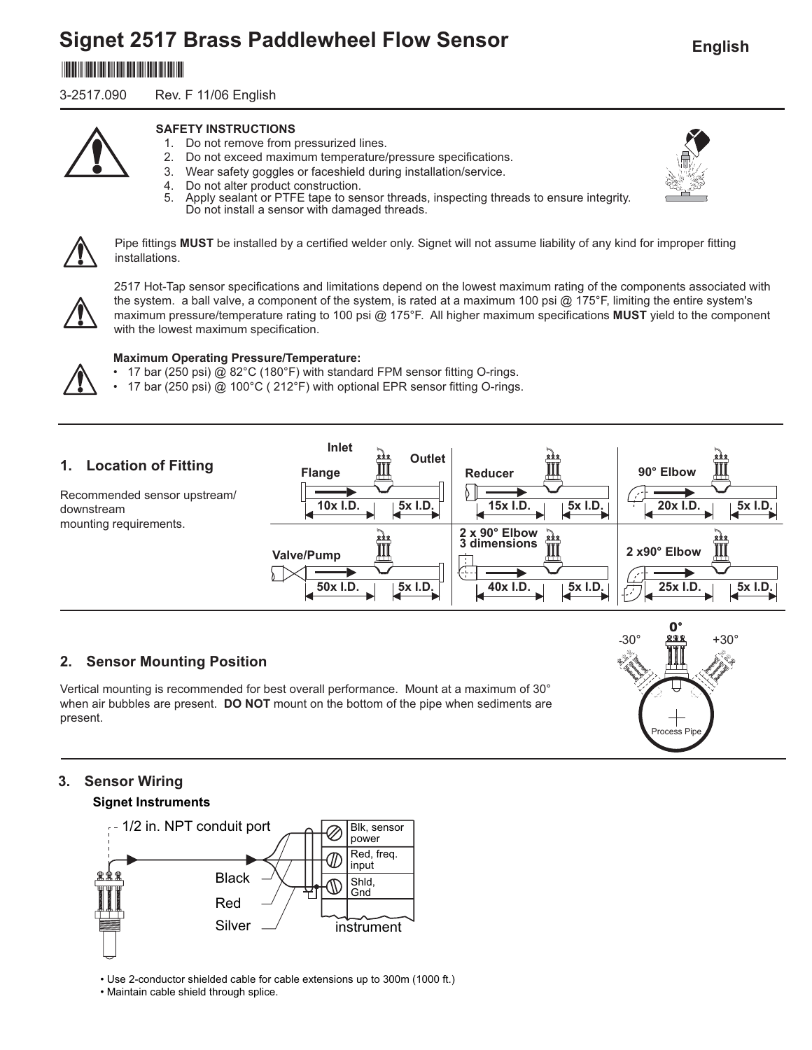# **Signet 2517 Brass Paddlewheel Flow Sensor**

# \*3-2540.090\*

3-2517.090 Rev. F 11/06 English



## **SAFETY INSTRUCTIONS**

- 1. Do not remove from pressurized lines.
- 2. Do not exceed maximum temperature/pressure specifications.
- 3. Wear safety goggles or faceshield during installation/service.
- 4. Do not alter product construction.<br>5. Apply sealant or PTFE tape to ser
	- Apply sealant or PTFE tape to sensor threads, inspecting threads to ensure integrity. Do not install a sensor with damaged threads.



Pipe fittings MUST be installed by a certified welder only. Signet will not assume liability of any kind for improper fitting installations.



2517 Hot-Tap sensor specifications and limitations depend on the lowest maximum rating of the components associated with the system. a ball valve, a component of the system, is rated at a maximum 100 psi  $@$  175°F, limiting the entire system's maximum pressure/temperature rating to 100 psi @ 175°F. All higher maximum specifications **MUST** yield to the component with the lowest maximum specification.

## **Maximum Operating Pressure/Temperature:**

- 17 bar (250 psi) @ 82°C (180°F) with standard FPM sensor fitting O-rings.
- 17 bar (250 psi) @ 100°C (212°F) with optional EPR sensor fitting O-rings.



# **2. Sensor Mounting Position**

Vertical mounting is recommended for best overall performance. Mount at a maximum of 30° when air bubbles are present. **DO NOT** mount on the bottom of the pipe when sediments are present.

# **3. Sensor Wiring**

## **Signet Instruments**



• Use 2-conductor shielded cable for cable extensions up to 300m (1000 ft.)

• Maintain cable shield through splice.



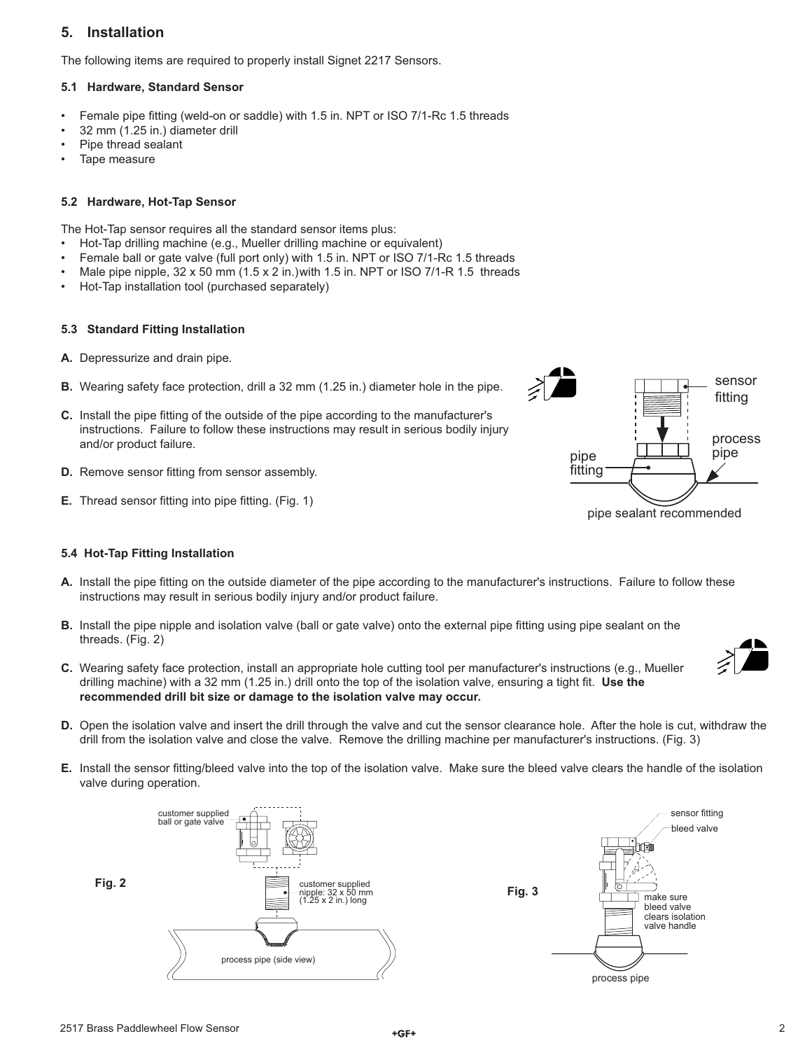## **5. Installation**

The following items are required to properly install Signet 2217 Sensors.

## **5.1 Hardware, Standard Sensor**

- Female pipe fitting (weld-on or saddle) with 1.5 in. NPT or ISO 7/1-Rc 1.5 threads
- 32 mm (1.25 in.) diameter drill
- Pipe thread sealant
- Tape measure

## **5.2 Hardware, Hot-Tap Sensor**

The Hot-Tap sensor requires all the standard sensor items plus:

- Hot-Tap drilling machine (e.g., Mueller drilling machine or equivalent)
- Female ball or gate valve (full port only) with 1.5 in. NPT or ISO 7/1-Rc 1.5 threads
- Male pipe nipple,  $32 \times 50$  mm  $(1.5 \times 2 \text{ in.})$  with 1.5 in. NPT or ISO 7/1-R 1.5 threads
- Hot-Tap installation tool (purchased separately)

## **5.3 Standard Fitting Installation**

- **A.** Depressurize and drain pipe.
- **B.** Wearing safety face protection, drill a 32 mm (1.25 in.) diameter hole in the pipe.
- **C.** Install the pipe fitting of the outside of the pipe according to the manufacturer's instructions. Failure to follow these instructions may result in serious bodily injury and/or product failure.
- **D.** Remove sensor fitting from sensor assembly.
- **E.** Thread sensor fitting into pipe fitting. (Fig. 1)

## **5.4 Hot-Tap Fitting Installation**

- A. Install the pipe fitting on the outside diameter of the pipe according to the manufacturer's instructions. Failure to follow these instructions may result in serious bodily injury and/or product failure.
- **B.** Install the pipe nipple and isolation valve (ball or gate valve) onto the external pipe fitting using pipe sealant on the threads. (Fig. 2)
- **C.** Wearing safety face protection, install an appropriate hole cutting tool per manufacturer's instructions (e.g., Mueller drilling machine) with a 32 mm (1.25 in.) drill onto the top of the isolation valve, ensuring a tight fit. Use the **recommended drill bit size or damage to the isolation valve may occur.**
- 
- **D.** Open the isolation valve and insert the drill through the valve and cut the sensor clearance hole. After the hole is cut, withdraw the drill from the isolation valve and close the valve. Remove the drilling machine per manufacturer's instructions. (Fig. 3)
- **E.** Install the sensor fitting/bleed valve into the top of the isolation valve. Make sure the bleed valve clears the handle of the isolation valve during operation.



process pipe sensor fitting bleed valve make sure bleed valve clears isolation valve handle

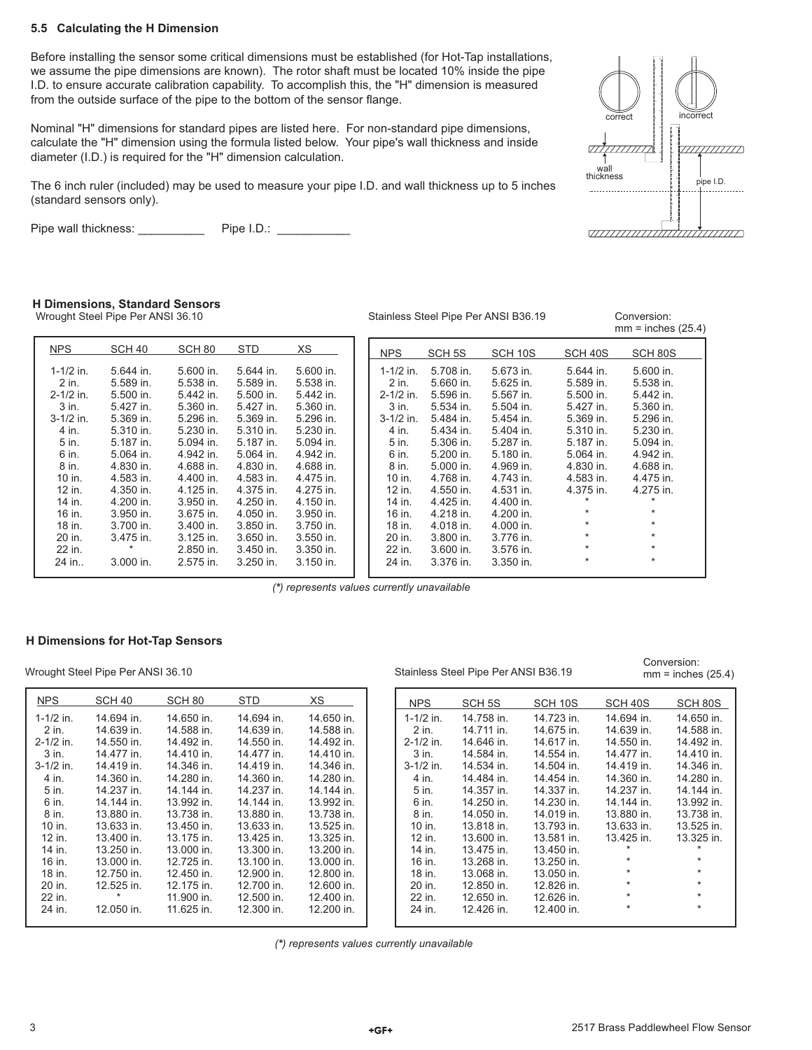#### **5.5 Calculating the H Dimension**

Before installing the sensor some critical dimensions must be established (for Hot-Tap installations, we assume the pipe dimensions are known). The rotor shaft must be located 10% inside the pipe I.D. to ensure accurate calibration capability. To accomplish this, the "H" dimension is measured from the outside surface of the pipe to the bottom of the sensor flange.

Nominal "H" dimensions for standard pipes are listed here. For non-standard pipe dimensions, calculate the "H" dimension using the formula listed below. Your pipe's wall thickness and inside diameter (I.D.) is required for the "H" dimension calculation.

The 6 inch ruler (included) may be used to measure your pipe I.D. and wall thickness up to 5 inches (standard sensors only).

Pipe wall thickness: \_\_\_\_\_\_\_\_\_\_\_\_ Pipe I.D.: \_\_\_\_\_\_\_\_\_\_



#### **H Dimensions, Standard Sensors**

Wrought Steel Pipe Per ANSI 36.10 Stainless Steel Pipe Per ANSI B36.19 Conversion:

 $mm =$  inches  $(25.4)$ 

Conversion:  $mm =$  inches (25.4)

| <b>NPS</b>    | SCH <sub>40</sub> | SCH <sub>80</sub> | <b>STD</b> | XS          | <b>NPS</b>    | SCH <sub>5S</sub> | SCH 10S   | SCH 40S     | SCH 80S   |
|---------------|-------------------|-------------------|------------|-------------|---------------|-------------------|-----------|-------------|-----------|
| $1 - 1/2$ in. | 5.644 in.         | 5.600 in.         | 5.644 in.  | $5.600$ in. | $1 - 1/2$ in. | 5.708 in.         | 5.673 in. | $5.644$ in. | 5.600 in. |
| 2 in.         | 5.589 in.         | 5.538 in.         | 5.589 in.  | 5.538 in.   | 2 in.         | 5.660 in.         | 5.625 in. | 5.589 in.   | 5.538 in. |
| $2 - 1/2$ in. | 5.500 in.         | 5.442 in.         | 5.500 in.  | 5.442 in.   | $2 - 1/2$ in. | 5.596 in.         | 5.567 in. | 5.500 in.   | 5.442 in. |
| 3 in.         | 5.427 in.         | 5.360 in.         | 5.427 in.  | 5.360 in.   | 3 in.         | 5.534 in.         | 5.504 in. | 5.427 in.   | 5.360 in. |
| $3 - 1/2$ in. | 5.369 in.         | 5.296 in.         | 5.369 in.  | 5.296 in.   | $3-1/2$ in.   | 5.484 in.         | 5.454 in. | 5.369 in.   | 5.296 in. |
| 4 in.         | 5.310 in.         | 5.230 in.         | 5.310 in.  | 5.230 in.   | 4 in.         | 5.434 in.         | 5.404 in. | 5.310 in.   | 5.230 in. |
| 5 in.         | 5.187 in.         | 5.094 in.         | 5.187 in.  | 5.094 in.   | 5 in.         | 5.306 in.         | 5.287 in. | 5.187 in.   | 5.094 in. |
| 6 in.         | 5.064 in.         | 4.942 in.         | 5.064 in.  | 4.942 in.   | 6 in.         | 5.200 in.         | 5.180 in. | 5.064 in.   | 4.942 in. |
| 8 in.         | 4.830 in.         | 4.688 in.         | 4.830 in.  | 4.688 in.   | 8 in.         | $5.000$ in.       | 4.969 in. | 4.830 in.   | 4.688 in. |
| 10 in.        | 4.583 in.         | 4.400 in.         | 4.583 in.  | 4.475 in.   | 10 in.        | 4.768 in.         | 4.743 in. | 4.583 in.   | 4.475 in. |
| 12 in.        | 4.350 in.         | 4.125 in.         | 4.375 in.  | 4.275 in.   | 12 in.        | 4.550 in.         | 4.531 in. | 4.375 in.   | 4.275 in. |
| 14 in.        | 4.200 in.         | 3.950 in.         | 4.250 in.  | 4.150 in.   | 14 in.        | 4.425 in.         | 4.400 in. |             |           |
| 16 in.        | 3.950 in.         | $3.675$ in.       | 4.050 in.  | $3.950$ in. | 16 in.        | 4.218 in.         | 4.200 in. | $\ast$      | $\star$   |
| 18 in.        | 3.700 in.         | $3.400$ in.       | 3.850 in.  | 3.750 in.   | 18 in.        | 4.018 in.         | 4.000 in. | $\star$     | $\star$   |
| 20 in.        | 3.475 in.         | 3.125 in.         | 3.650 in.  | $3.550$ in. | 20 in.        | 3.800 in.         | 3.776 in. | $\star$     | $\star$   |
| 22 in.        | $\ast$            | 2.850 in.         | 3.450 in.  | $3.350$ in. | 22 in.        | 3.600 in.         | 3.576 in. | $\ast$      | $\star$   |
| 24 in         | 3.000 in.         | 2.575 in.         | 3.250 in.  | $3.150$ in. | 24 in.        | 3.376 in.         | 3.350 in. | $\star$     | $\star$   |
|               |                   |                   |            |             |               |                   |           |             |           |

*(\*) represents values currently unavailable*

#### **H Dimensions for Hot-Tap Sensors**

Wrought Steel Pipe Per ANSI 36.10 Stainless Steel Pipe Per ANSI B36.19

| <b>NPS</b>    | SCH 40     | SCH 80     | STD        | ХS         |
|---------------|------------|------------|------------|------------|
| $1 - 1/2$ in. | 14.694 in. | 14.650 in. | 14.694 in. | 14.650 in. |
| 2 in.         | 14.639 in. | 14.588 in. | 14.639 in. | 14.588 in. |
| $2 - 1/2$ in. | 14.550 in. | 14.492 in. | 14.550 in. | 14.492 in. |
| 3 in.         | 14 477 in  | 14.410 in. | 14.477 in. | 14.410 in. |
| $3 - 1/2$ in. | 14.419 in. | 14.346 in. | 14.419 in  | 14.346 in. |
| 4 in.         | 14,360 in. | 14.280 in. | 14.360 in. | 14.280 in. |
| 5 in.         | 14.237 in. | 14.144 in. | 14.237 in. | 14.144 in. |
| 6 in.         | 14.144 in  | 13.992 in. | 14.144 in. | 13.992 in. |
| 8 in.         | 13.880 in. | 13.738 in. | 13.880 in. | 13.738 in. |
| 10 in.        | 13.633 in. | 13.450 in. | 13.633 in. | 13.525 in. |
| 12 in.        | 13.400 in. | 13.175 in. | 13.425 in. | 13.325 in. |
| 14 in.        | 13.250 in. | 13.000 in. | 13.300 in. | 13.200 in. |
| 16 in.        | 13.000 in. | 12.725 in. | 13.100 in. | 13.000 in. |
| 18 in.        | 12.750 in. | 12.450 in. | 12.900 in. | 12.800 in. |
| 20 in.        | 12.525 in. | 12.175 in. | 12.700 in. | 12.600 in. |
| 22 in.        | $\star$    | 11.900 in. | 12.500 in. | 12.400 in. |
| 24 in.        | 12.050 in. | 11.625 in. | 12.300 in. | 12.200 in. |
|               |            |            |            |            |

| <b>NPS</b>    | SCH 5S     | SCH 10S    | SCH 40S    | SCH 80S    |
|---------------|------------|------------|------------|------------|
| 1-1/2 in.     | 14.758 in. | 14.723 in. | 14.694 in. | 14.650 in. |
| 2 in.         | 14.711 in. | 14.675 in. | 14.639 in. | 14.588 in. |
| $2 - 1/2$ in. | 14.646 in. | 14.617 in. | 14.550 in. | 14.492 in. |
| $3$ in.       | 14.584 in. | 14.554 in. | 14.477 in. | 14.410 in. |
| $3-1/2$ in.   | 14.534 in. | 14.504 in. | 14.419 in  | 14.346 in. |
| 4 in.         | 14.484 in  | 14.454 in. | 14.360 in. | 14.280 in. |
| 5 in.         | 14.357 in. | 14.337 in. | 14.237 in. | 14.144 in. |
| 6 in.         | 14.250 in. | 14.230 in. | 14.144 in. | 13.992 in. |
| 8 in.         | 14.050 in. | 14.019 in. | 13.880 in. | 13.738 in. |
| 10 in.        | 13.818 in. | 13.793 in. | 13.633 in. | 13.525 in. |
| 12 in.        | 13.600 in. | 13.581 in. | 13.425 in. | 13.325 in. |
| 14 in.        | 13.475 in. | 13.450 in. | $\star$    | $\star$    |
| 16 in.        | 13.268 in. | 13.250 in. | $\star$    | $\star$    |
| 18 in.        | 13.068 in. | 13.050 in. | $\star$    | $\star$    |
| 20 in.        | 12.850 in. | 12.826 in. | $\star$    | $\star$    |
| 22 in.        | 12.650 in. | 12.626 in. | $\star$    | $\star$    |
| 24 in.        | 12.426 in. | 12.400 in. | $\star$    | $\star$    |
|               |            |            |            |            |

*(\*) represents values currently unavailable*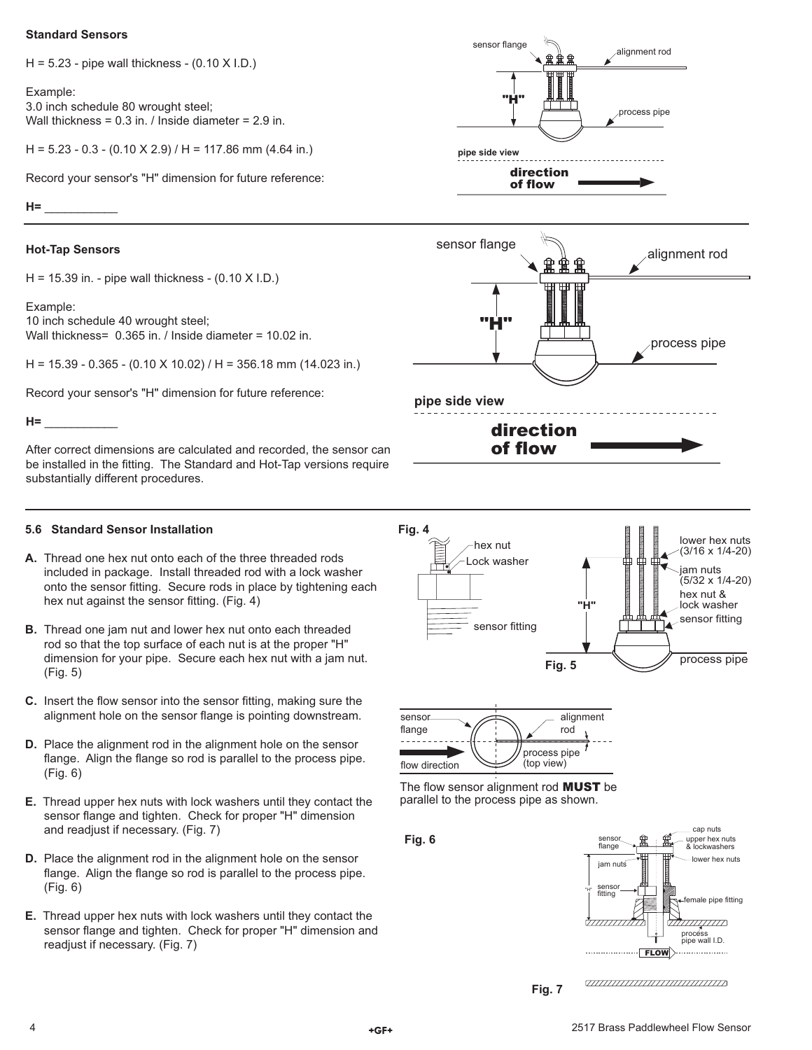#### **Standard Sensors**

 $H = 5.23$  - pipe wall thickness -  $(0.10 \times I.D.)$ 

Example: 3.0 inch schedule 80 wrought steel; Wall thickness = 0.3 in. / Inside diameter = 2.9 in.

 $H = 5.23 - 0.3 - (0.10 \text{ X } 2.9) / H = 117.86 \text{ mm } (4.64 \text{ in.})$ 

Record your sensor's "H" dimension for future reference:

**H=** \_\_\_\_\_\_\_\_\_\_\_

### **Hot-Tap Sensors**

H = 15.39 in. - pipe wall thickness - (0.10 X I.D.)

Example: 10 inch schedule 40 wrought steel; Wall thickness= 0.365 in. / Inside diameter = 10.02 in.

H = 15.39 - 0.365 - (0.10 X 10.02) / H = 356.18 mm (14.023 in.)

Record your sensor's "H" dimension for future reference:

#### **H=** \_\_\_\_\_\_\_\_\_\_\_

After correct dimensions are calculated and recorded, the sensor can be installed in the fitting. The Standard and Hot-Tap versions require substantially different procedures.

#### **5.6 Standard Sensor Installation**

- **A.** Thread one hex nut onto each of the three threaded rods included in package. Install threaded rod with a lock washer onto the sensor fitting. Secure rods in place by tightening each hex nut against the sensor fitting. (Fig. 4)
- **B.** Thread one jam nut and lower hex nut onto each threaded rod so that the top surface of each nut is at the proper "H" dimension for your pipe. Secure each hex nut with a jam nut. (Fig. 5)
- **C.** Insert the flow sensor into the sensor fitting, making sure the alignment hole on the sensor flange is pointing downstream.
- **D.** Place the alignment rod in the alignment hole on the sensor flange. Align the flange so rod is parallel to the process pipe. (Fig. 6)
- **E.** Thread upper hex nuts with lock washers until they contact the sensor flange and tighten. Check for proper "H" dimension and readjust if necessary. (Fig. 7)
- **D.** Place the alignment rod in the alignment hole on the sensor flange. Align the flange so rod is parallel to the process pipe. (Fig. 6)
- **E.** Thread upper hex nuts with lock washers until they contact the sensor flange and tighten. Check for proper "H" dimension and readjust if necessary. (Fig. 7)









The flow sensor alignment rod **MUST** be parallel to the process pipe as shown.





**Fig. 7**

<del>annumummummum</del>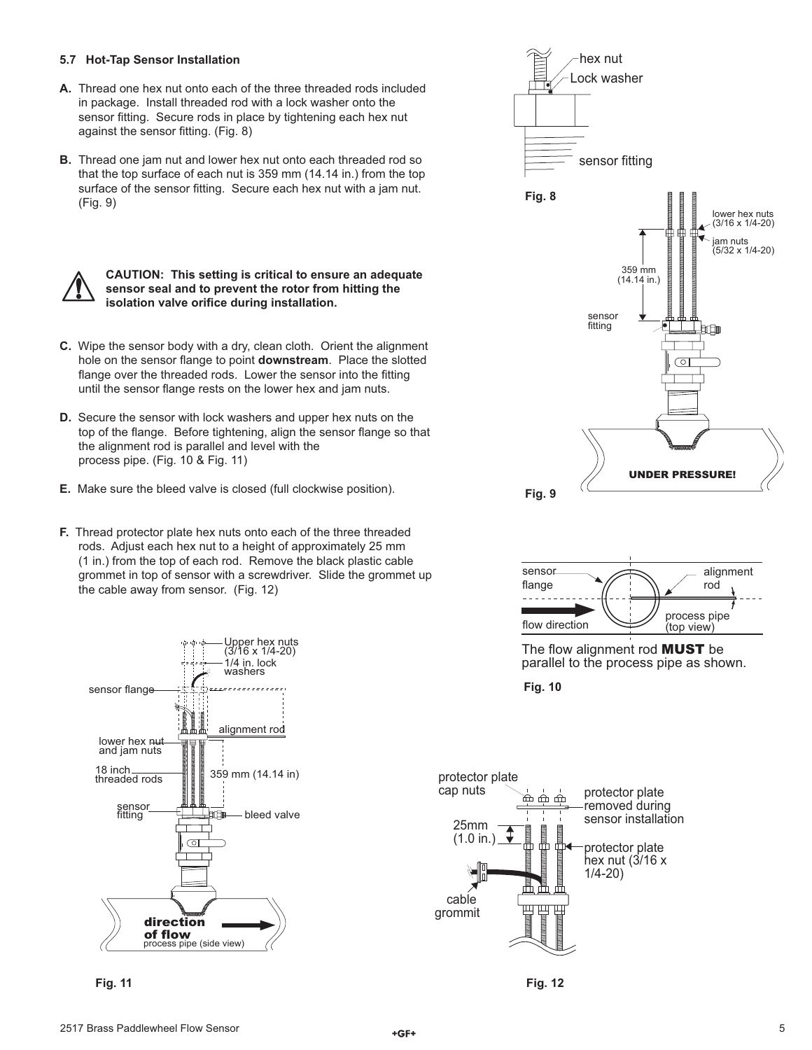#### **5.7 Hot-Tap Sensor Installation**

- **A.** Thread one hex nut onto each of the three threaded rods included in package. Install threaded rod with a lock washer onto the sensor fitting. Secure rods in place by tightening each hex nut against the sensor fitting. (Fig. 8)
- **B.** Thread one jam nut and lower hex nut onto each threaded rod so that the top surface of each nut is 359 mm (14.14 in.) from the top surface of the sensor fitting. Secure each hex nut with a jam nut. (Fig. 9)



#### **CAUTION: This setting is critical to ensure an adequate sensor seal and to prevent the rotor from hitting the isolation valve orifice during installation.**

- **C.** Wipe the sensor body with a dry, clean cloth. Orient the alignment hole on the sensor flange to point **downstream**. Place the slotted flange over the threaded rods. Lower the sensor into the fitting until the sensor flange rests on the lower hex and jam nuts.
- **D.** Secure the sensor with lock washers and upper hex nuts on the top of the flange. Before tightening, align the sensor flange so that the alignment rod is parallel and level with the process pipe. (Fig. 10 & Fig. 11)
- **E.** Make sure the bleed valve is closed (full clockwise position).
- **F.** Thread protector plate hex nuts onto each of the three threaded rods. Adjust each hex nut to a height of approximately 25 mm (1 in.) from the top of each rod. Remove the black plastic cable grommet in top of sensor with a screwdriver. Slide the grommet up the cable away from sensor. (Fig. 12)



**Fig. 11**





The flow alignment rod **MUST** be parallel to the process pipe as shown.

**Fig. 10**



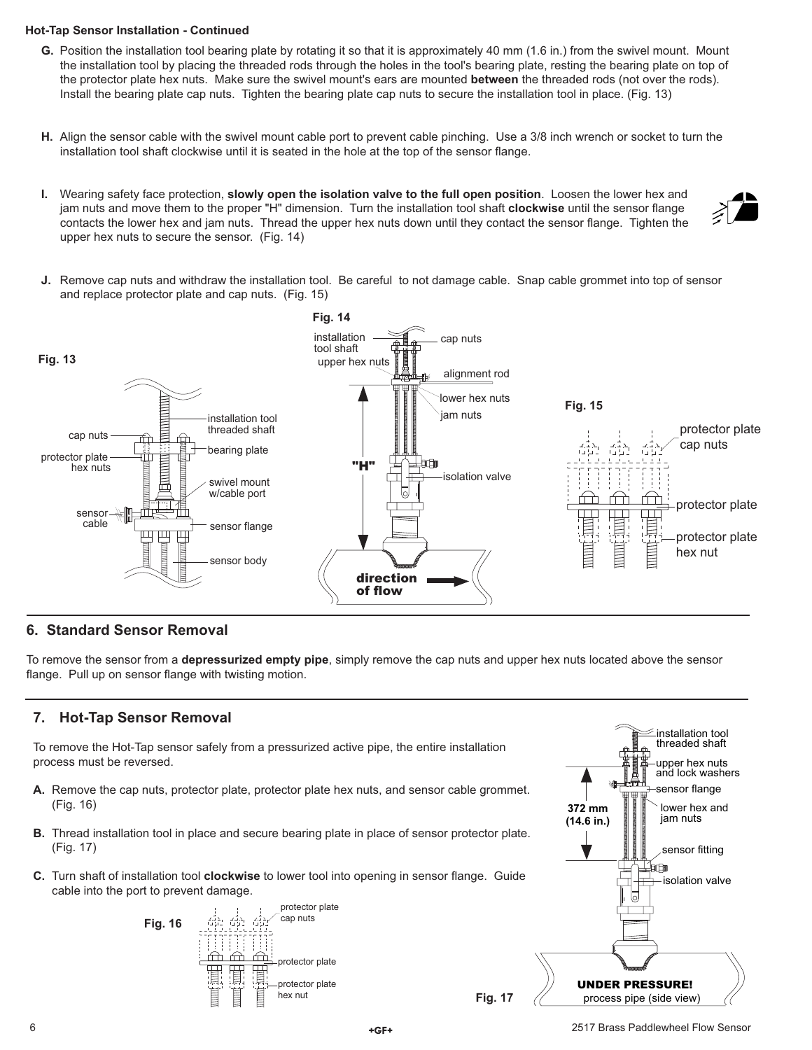#### **Hot-Tap Sensor Installation - Continued**

- **G.** Position the installation tool bearing plate by rotating it so that it is approximately 40 mm (1.6 in.) from the swivel mount. Mount the installation tool by placing the threaded rods through the holes in the tool's bearing plate, resting the bearing plate on top of the protector plate hex nuts. Make sure the swivel mount's ears are mounted **between** the threaded rods (not over the rods). Install the bearing plate cap nuts. Tighten the bearing plate cap nuts to secure the installation tool in place. (Fig. 13)
- **H.** Align the sensor cable with the swivel mount cable port to prevent cable pinching. Use a 3/8 inch wrench or socket to turn the installation tool shaft clockwise until it is seated in the hole at the top of the sensor flange.
- **I.** Wearing safety face protection, **slowly open the isolation valve to the full open position**. Loosen the lower hex and jam nuts and move them to the proper "H" dimension. Turn the installation tool shaft **clockwise** until the sensor flange contacts the lower hex and jam nuts. Thread the upper hex nuts down until they contact the sensor flange. Tighten the upper hex nuts to secure the sensor. (Fig. 14)
- **J.** Remove cap nuts and withdraw the installation tool. Be careful to not damage cable. Snap cable grommet into top of sensor



## **6. Standard Sensor Removal**

To remove the sensor from a **depressurized empty pipe**, simply remove the cap nuts and upper hex nuts located above the sensor flange. Pull up on sensor flange with twisting motion.

## **7. Hot-Tap Sensor Removal**

To remove the Hot-Tap sensor safely from a pressurized active pipe, the entire installation process must be reversed.

- **A.** Remove the cap nuts, protector plate, protector plate hex nuts, and sensor cable grommet. (Fig. 16)
- **B.** Thread installation tool in place and secure bearing plate in place of sensor protector plate. (Fig. 17)
- **C.** Turn shaft of installation tool **clockwise** to lower tool into opening in sensor flange. Guide cable into the port to prevent damage.





**Fig. 17**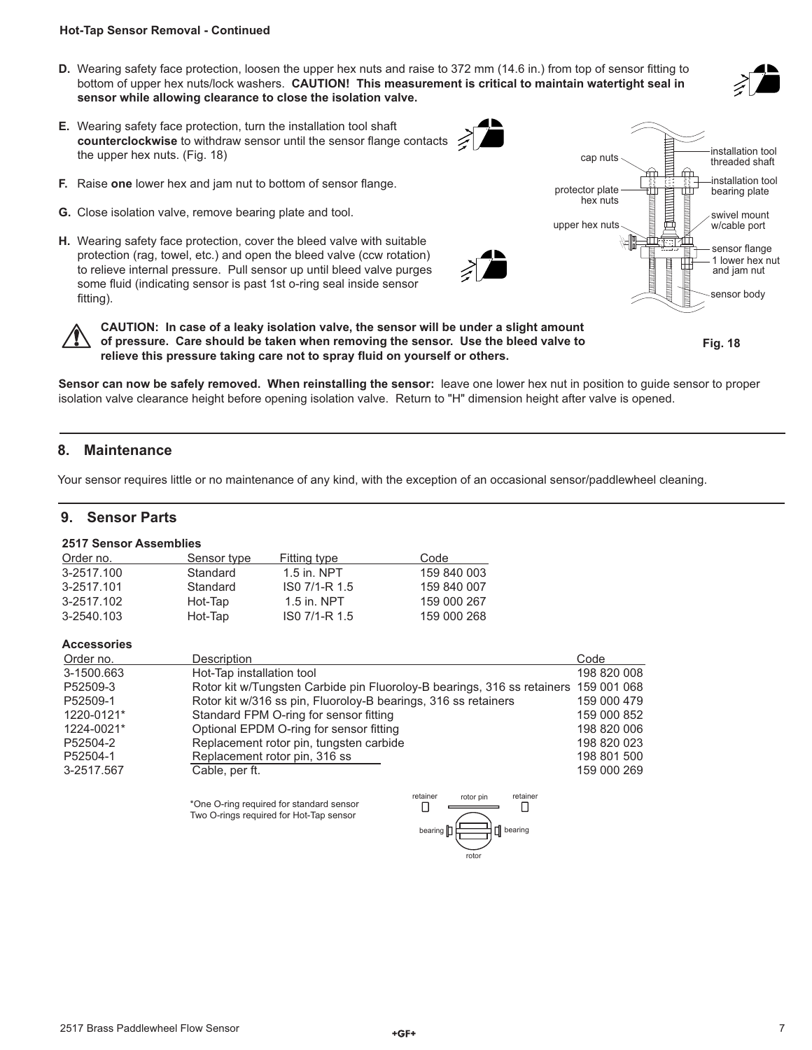#### **Hot-Tap Sensor Removal - Continued**

- **D.** Wearing safety face protection, loosen the upper hex nuts and raise to 372 mm (14.6 in.) from top of sensor fitting to bottom of upper hex nuts/lock washers. **CAUTION! This measurement is critical to maintain watertight seal in sensor while allowing clearance to close the isolation valve.**
- **E.** Wearing safety face protection, turn the installation tool shaft counterclockwise to withdraw sensor until the sensor flange contacts the upper hex nuts. (Fig. 18)
- **F.** Raise one lower hex and jam nut to bottom of sensor flange.
- **G.** Close isolation valve, remove bearing plate and tool.
- **H.** Wearing safety face protection, cover the bleed valve with suitable protection (rag, towel, etc.) and open the bleed valve (ccw rotation) to relieve internal pressure. Pull sensor up until bleed valve purges some fluid (indicating sensor is past 1st o-ring seal inside sensor fitting).

installation tool threaded shaft sensor flange cap nuts upper hex nuts 1 lower hex nut and jam nut sensor body installation tool protector plate  $\begin{array}{c} \hline \text{linear} \\ \text{linear} \end{array}$  bearing plate swivel mount w/cable port



**CAUTION: In case of a leaky isolation valve, the sensor will be under a slight amount of pressure. Care should be taken when removing the sensor. Use the bleed valve to**  relieve this pressure taking care not to spray fluid on yourself or others.

**Fig. 18**

**Sensor can now be safely removed. When reinstalling the sensor:** leave one lower hex nut in position to guide sensor to proper isolation valve clearance height before opening isolation valve. Return to "H" dimension height after valve is opened.

## **8. Maintenance**

Your sensor requires little or no maintenance of any kind, with the exception of an occasional sensor/paddlewheel cleaning.

## **9. Sensor Parts**

#### **2517 Sensor Assemblies**

| Order no.  | Sensor type | Fitting type  | Code        |
|------------|-------------|---------------|-------------|
| 3-2517.100 | Standard    | $1.5$ in. NPT | 159 840 003 |
| 3-2517.101 | Standard    | ISO 7/1-R 1.5 | 159 840 007 |
| 3-2517.102 | Hot-Tap     | $1.5$ in. NPT | 159 000 267 |
| 3-2540.103 | Hot-Tap     | ISO 7/1-R 1.5 | 159 000 268 |

### **Accessories**

| Order no.  | <b>Description</b>                                                                  | Code        |
|------------|-------------------------------------------------------------------------------------|-------------|
| 3-1500.663 | Hot-Tap installation tool                                                           | 198 820 008 |
| P52509-3   | Rotor kit w/Tungsten Carbide pin Fluoroloy-B bearings, 316 ss retainers 159 001 068 |             |
| P52509-1   | Rotor kit w/316 ss pin, Fluoroloy-B bearings, 316 ss retainers                      | 159 000 479 |
| 1220-0121* | Standard FPM O-ring for sensor fitting                                              | 159 000 852 |
| 1224-0021* | Optional EPDM O-ring for sensor fitting                                             | 198 820 006 |
| P52504-2   | Replacement rotor pin, tungsten carbide                                             | 198 820 023 |
| P52504-1   | Replacement rotor pin, 316 ss                                                       | 198 801 500 |
| 3-2517.567 | Cable, per ft.                                                                      | 159 000 269 |

\*One O-ring required for standard sensor Two O-rings required for Hot-Tap sensor

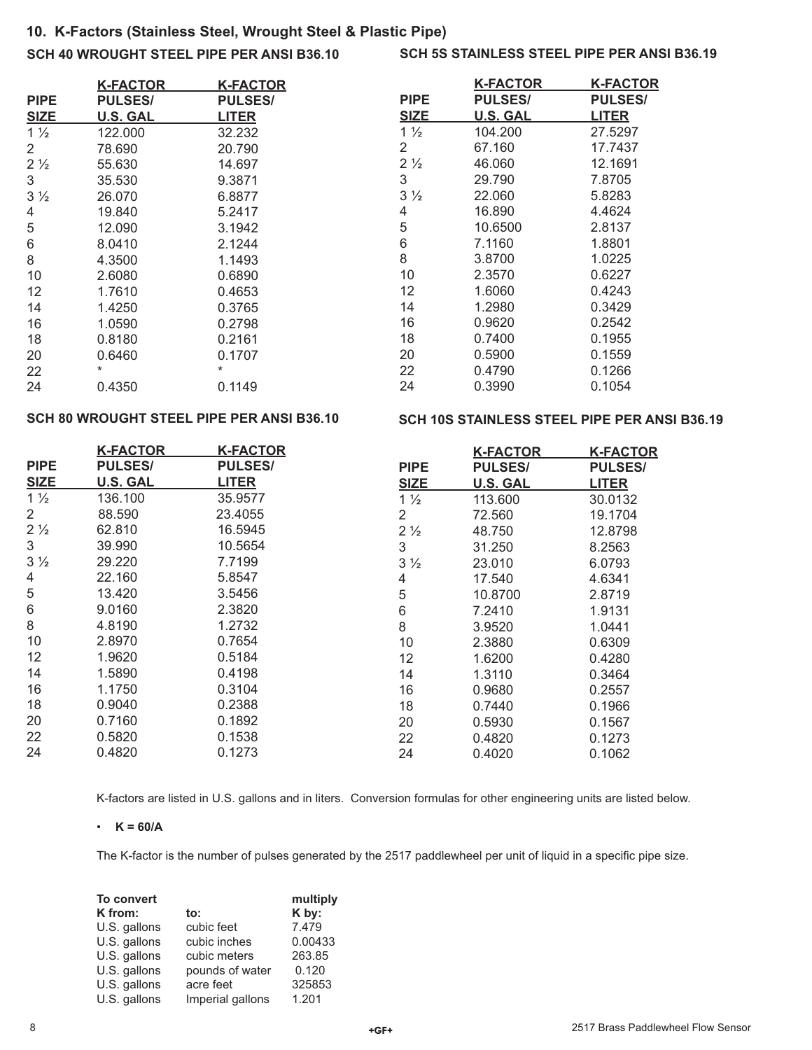# **10. K-Factors (Stainless Steel, Wrought Steel & Plastic Pipe)**

## **SCH 40 WROUGHT STEEL PIPE PER ANSI B36.10**

## **SCH 5S STAINLESS STEEL PIPE PER ANSI B36.19**

|                 | K-FACTOR        | <b>K-FACTOR</b> |
|-----------------|-----------------|-----------------|
| <b>PIPE</b>     | <b>PULSES/</b>  | <b>PULSES/</b>  |
| SIZE            | <b>U.S. GAL</b> | <b>LITER</b>    |
| 1 $\frac{1}{2}$ | 122,000         | 32.232          |
| 2               | 78,690          | 20.790          |
| $2\frac{1}{2}$  | 55,630          | 14.697          |
| 3               | 35.530          | 9.3871          |
| $3\frac{1}{2}$  | 26.070          | 6.8877          |
| 4               | 19.840          | 5.2417          |
| 5               | 12.090          | 3.1942          |
| 6               | 8.0410          | 2.1244          |
| 8               | 4.3500          | 1.1493          |
| 10              | 2.6080          | 0.6890          |
| 12              | 1.7610          | 0.4653          |
| 14              | 1.4250          | 0.3765          |
| 16              | 1.0590          | 0.2798          |
| 18              | 0.8180          | 0.2161          |
| 20              | 0.6460          | 0.1707          |
| 22              | $\star$         | $\star$         |
| 24              | 0.4350          | 0.1149          |

|                | K-FACTOR       | <u>K-FACTOR</u> |
|----------------|----------------|-----------------|
| PIPE           | <b>PULSES/</b> | <b>PULSES/</b>  |
| SIZE           | U.S. GAL       | LITER           |
| $1\frac{1}{2}$ | 104.200        | 27.5297         |
| 2              | 67.160         | 17.7437         |
| $2\frac{1}{2}$ | 46.060         | 12.1691         |
| 3              | 29.790         | 7.8705          |
| 3 <sub>2</sub> | 22.060         | 5.8283          |
| 4              | 16.890         | 4.4624          |
| 5              | 10.6500        | 2.8137          |
| 6              | 7.1160         | 1.8801          |
| 8              | 3.8700         | 1.0225          |
| 10             | 2.3570         | 0.6227          |
| 12             | 1.6060         | 0.4243          |
| 14             | 1.2980         | 0.3429          |
| 16             | 0.9620         | 0.2542          |
| 18             | 0.7400         | 0.1955          |
| 20             | 0.5900         | 0.1559          |
| 22             | 0.4790         | 0.1266          |
| 24             | 0.3990         | 0.1054          |
|                |                |                 |

## **SCH 80 WROUGHT STEEL PIPE PER ANSI B36.10**

#### **SCH 10S STAINLESS STEEL PIPE PER ANSI B36.19**

|                | <b>K-FACTOR</b> | <b>K-FACTOR</b> |                | <b>K-FACTOR</b> | <b>K-FACTOR</b> |
|----------------|-----------------|-----------------|----------------|-----------------|-----------------|
| <b>PIPE</b>    | <b>PULSES/</b>  | <b>PULSES/</b>  | <b>PIPE</b>    | <b>PULSES/</b>  | <b>PULSES/</b>  |
| <b>SIZE</b>    | <b>U.S. GAL</b> | <b>LITER</b>    | <b>SIZE</b>    | <b>U.S. GAL</b> | <b>LITER</b>    |
| $1\frac{1}{2}$ | 136.100         | 35.9577         | $1\frac{1}{2}$ | 113,600         | 30.0132         |
| 2              | 88,590          | 23.4055         | 2              | 72.560          | 19.1704         |
| $2\frac{1}{2}$ | 62.810          | 16.5945         | $2\frac{1}{2}$ | 48.750          | 12.8798         |
| 3              | 39,990          | 10.5654         | 3              | 31.250          | 8.2563          |
| $3\frac{1}{2}$ | 29.220          | 7.7199          | $3\frac{1}{2}$ | 23.010          | 6.0793          |
| 4              | 22.160          | 5.8547          | 4              | 17.540          | 4.6341          |
| 5              | 13.420          | 3.5456          | 5              | 10.8700         | 2.8719          |
| 6              | 9.0160          | 2.3820          | 6              | 7.2410          | 1.9131          |
| 8              | 4.8190          | 1.2732          | 8              | 3.9520          | 1.0441          |
| 10             | 2.8970          | 0.7654          | 10             | 2.3880          | 0.6309          |
| 12             | 1.9620          | 0.5184          | 12             | 1.6200          | 0.4280          |
| 14             | 1.5890          | 0.4198          | 14             | 1.3110          | 0.3464          |
| 16             | 1.1750          | 0.3104          | 16             | 0.9680          | 0.2557          |
| 18             | 0.9040          | 0.2388          | 18             | 0.7440          | 0.1966          |
| 20             | 0.7160          | 0.1892          | 20             | 0.5930          | 0.1567          |
| 22             | 0.5820          | 0.1538          | 22             | 0.4820          | 0.1273          |
| 24             | 0.4820          | 0.1273          | 24             | 0.4020          | 0.1062          |

K-factors are listed in U.S. gallons and in liters. Conversion formulas for other engineering units are listed below.

#### $\cdot$  **K** = 60/A

The K-factor is the number of pulses generated by the 2517 paddlewheel per unit of liquid in a specific pipe size.

| To convert   |                  | multiply |
|--------------|------------------|----------|
| K from:      | to:              | K by:    |
| U.S. gallons | cubic feet       | 7.479    |
| U.S. gallons | cubic inches     | 0.00433  |
| U.S. gallons | cubic meters     | 263.85   |
| U.S. gallons | pounds of water  | 0.120    |
| U.S. gallons | acre feet        | 325853   |
| U.S. gallons | Imperial gallons | 1.201    |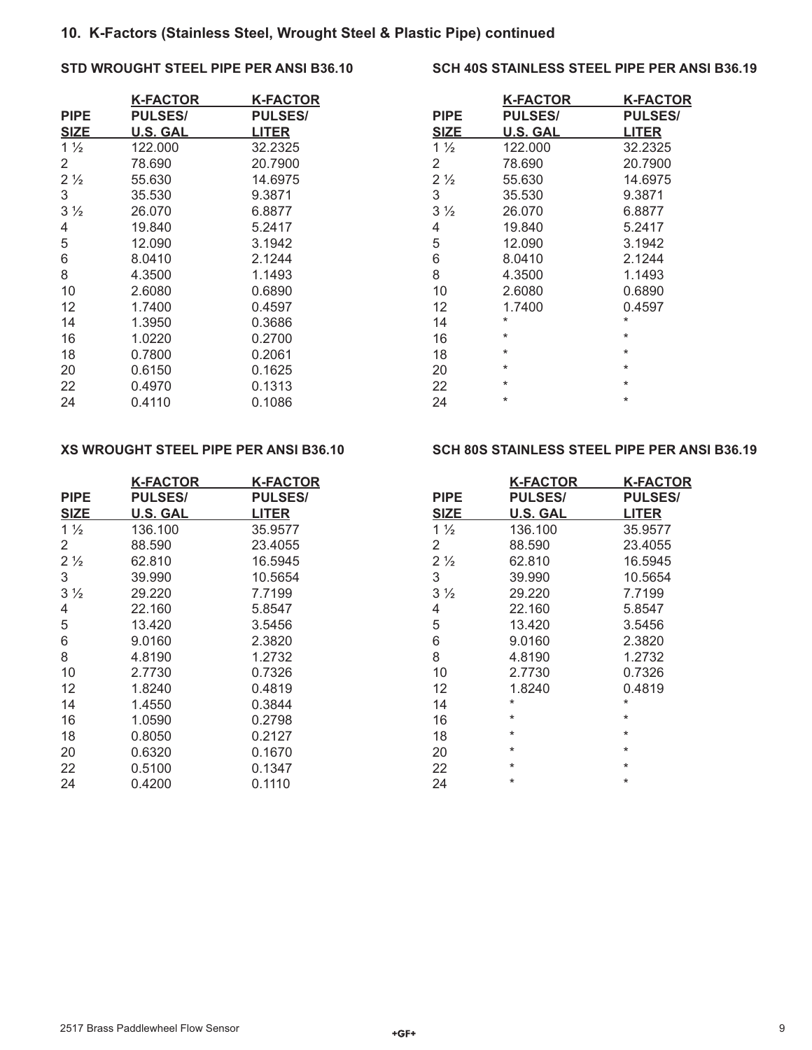## **10. K-Factors (Stainless Steel, Wrought Steel & Plastic Pipe) continued**

## **STD WROUGHT STEEL PIPE PER ANSI B36.10**

|                | <b>K-FACTOR</b> | K-FACTOR       |
|----------------|-----------------|----------------|
| <b>PIPE</b>    | <b>PULSES/</b>  | <b>PULSES/</b> |
| <b>SIZE</b>    | <b>U.S. GAL</b> | <b>LITER</b>   |
| $1\frac{1}{2}$ | 122,000         | 32.2325        |
| 2              | 78.690          | 20.7900        |
| 2 <sub>2</sub> | 55.630          | 14.6975        |
| 3              | 35.530          | 9.3871         |
| $3\frac{1}{2}$ | 26.070          | 6.8877         |
| 4              | 19.840          | 5.2417         |
| 5              | 12.090          | 3.1942         |
| 6              | 8.0410          | 2.1244         |
| 8              | 4.3500          | 1.1493         |
| 10             | 2.6080          | 0.6890         |
| 12             | 1.7400          | 0.4597         |
| 14             | 1.3950          | 0.3686         |
| 16             | 1.0220          | 0.2700         |
| 18             | 0.7800          | 0.2061         |
| 20             | 0.6150          | 0.1625         |
| 22             | 0.4970          | 0.1313         |
| 24             | 0.4110          | 0.1086         |

## **XS WROUGHT STEEL PIPE PER ANSI B36.10**

|                | <b>K-FACTOR</b> | <b>K-FACTOR</b> |
|----------------|-----------------|-----------------|
| PIPE           | <b>PULSES/</b>  | <b>PULSES/</b>  |
| <b>SIZE</b>    | U.S. GAL        | <b>LITER</b>    |
| $1\frac{1}{2}$ | 136.100         | 35.9577         |
| 2              | 88.590          | 23.4055         |
| $2\frac{1}{2}$ | 62.810          | 16.5945         |
| 3              | 39.990          | 10.5654         |
| $3\frac{1}{2}$ | 29.220          | 7.7199          |
| 4              | 22.160          | 5.8547          |
| 5              | 13.420          | 3.5456          |
| 6              | 9.0160          | 2.3820          |
| 8              | 4.8190          | 1.2732          |
| 10             | 2.7730          | 0.7326          |
| 12             | 1.8240          | 0.4819          |
| 14             | 1.4550          | 0.3844          |
| 16             | 1.0590          | 0.2798          |
| 18             | 0.8050          | 0.2127          |
| 20             | 0.6320          | 0.1670          |
| 22             | 0.5100          | 0.1347          |
| 24             | 0.4200          | 0.1110          |

## **SCH 40S STAINLESS STEEL PIPE PER ANSI B36.19**

|                | K-FACTOR        | K-FACTOR       |
|----------------|-----------------|----------------|
| <b>PIPE</b>    | <b>PULSES/</b>  | <b>PULSES/</b> |
| <b>SIZE</b>    | <b>U.S. GAL</b> | LITER          |
| $1\frac{1}{2}$ | 122.000         | 32.2325        |
| 2              | 78,690          | 20.7900        |
| $2\frac{1}{2}$ | 55.630          | 14.6975        |
| 3              | 35.530          | 9.3871         |
| $3\frac{1}{2}$ | 26.070          | 6.8877         |
| 4              | 19.840          | 5.2417         |
| 5              | 12.090          | 3.1942         |
| 6              | 8.0410          | 2.1244         |
| 8              | 4.3500          | 1.1493         |
| 10             | 2.6080          | 0.6890         |
| 12             | 1.7400          | 0.4597         |
| 14             | *               | $\star$        |
| 16             | $\ast$          | $\star$        |
| 18             | $\star$         | $\star$        |
| 20             | $\star$         | $\star$        |
| 22             | $\star$         | $\star$        |
| 24             | $\star$         | $\star$        |

## **SCH 80S STAINLESS STEEL PIPE PER ANSI B36.19**

|                | K-FACTOR        | K-FACTOR       |  |
|----------------|-----------------|----------------|--|
| <b>PIPE</b>    | <b>PULSES/</b>  | <b>PULSES/</b> |  |
| <b>SIZE</b>    | <b>U.S. GAL</b> | <b>LITER</b>   |  |
| $1\frac{1}{2}$ | 136.100         | 35.9577        |  |
| 2              | 88.590          | 23.4055        |  |
| 2 <sub>2</sub> | 62.810          | 16.5945        |  |
| 3              | 39.990          | 10.5654        |  |
| 3 <sub>2</sub> | 29.220          | 7.7199         |  |
| 4              | 22.160          | 5.8547         |  |
| 5              | 13.420          | 3.5456         |  |
| 6              | 9.0160          | 2.3820         |  |
| 8              | 4.8190          | 1.2732         |  |
| 10             | 2.7730          | 0.7326         |  |
| 12             | 1.8240          | 0.4819         |  |
| 14             | *               | $\star$        |  |
| 16             | $\ast$          | $\star$        |  |
| 18             | $\ast$          | $\star$        |  |
| 20             | $\star$         | $\star$        |  |
| 22             | $\star$         | $\star$        |  |
| 24             | $\star$         | $\star$        |  |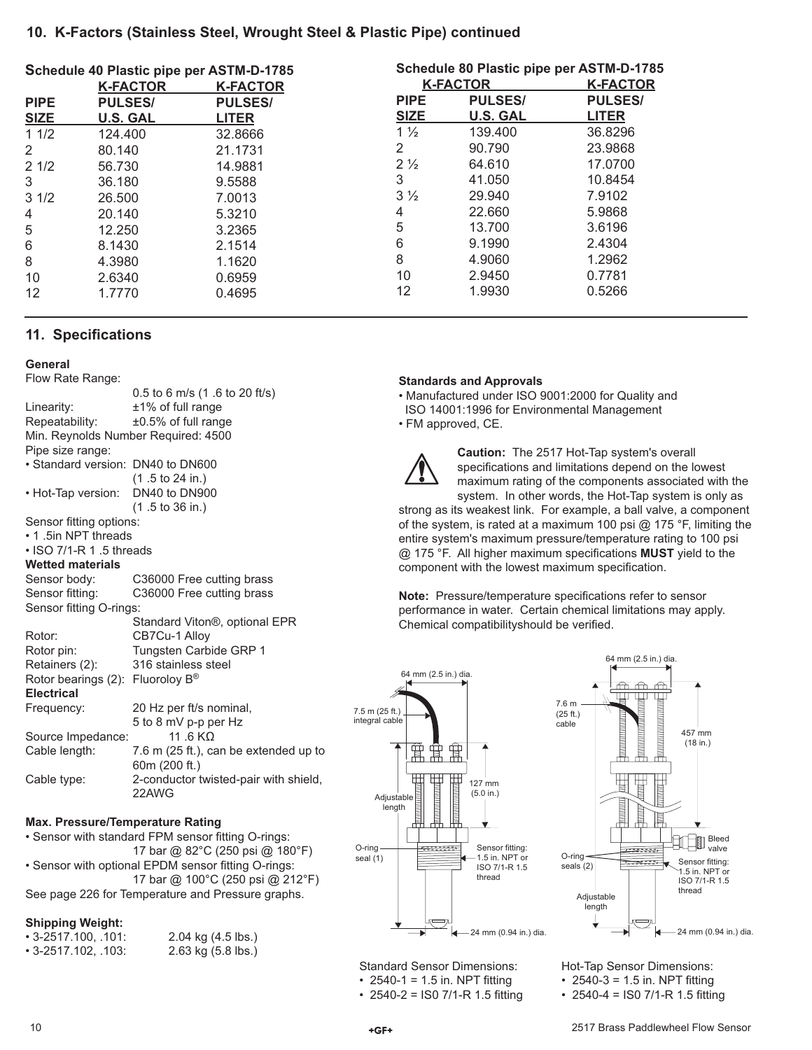## **10. K-Factors (Stainless Steel, Wrought Steel & Plastic Pipe) continued**

| Schedule 80 Plastic pipe per ASTM-D-1785 |                 |  |
|------------------------------------------|-----------------|--|
| <b>K-FACTOR</b>                          | <b>K-FACTOR</b> |  |
| <b>PULSES/</b>                           | <b>PULSES/</b>  |  |
| <b>U.S. GAL</b>                          | <b>LITER</b>    |  |
| 139.400                                  | 36.8296         |  |
| 90.790                                   | 23.9868         |  |
| 64.610                                   | 17.0700         |  |
| 41.050                                   | 10.8454         |  |
| 29,940                                   | 7.9102          |  |
| 22,660                                   | 5.9868          |  |
| 13.700                                   | 3.6196          |  |
| 9.1990                                   | 2.4304          |  |
| 4.9060                                   | 1.2962          |  |
| 2.9450                                   | 0.7781          |  |
| 1.9930                                   | 0.5266          |  |
|                                          |                 |  |

## **11. Specifications**

#### **General**

Flow Rate Range:

|                                              | 0.5 to 6 m/s (1 .6 to 20 ft/s)        |  |  |  |
|----------------------------------------------|---------------------------------------|--|--|--|
| Linearity:                                   | $±1\%$ of full range                  |  |  |  |
| Repeatability:                               | $±0.5\%$ of full range                |  |  |  |
| Min. Reynolds Number Required: 4500          |                                       |  |  |  |
| Pipe size range:                             |                                       |  |  |  |
| • Standard version: DN40 to DN600            |                                       |  |  |  |
|                                              | $(1.5 \text{ to } 24 \text{ in.})$    |  |  |  |
| • Hot-Tap version:                           | DN40 to DN900                         |  |  |  |
|                                              | $(1.5 \text{ to } 36 \text{ in.})$    |  |  |  |
| Sensor fitting options:                      |                                       |  |  |  |
| • 1.5in NPT threads                          |                                       |  |  |  |
| $\cdot$ ISO 7/1-R 1.5 threads                |                                       |  |  |  |
| <b>Wetted materials</b>                      |                                       |  |  |  |
| Sensor body:                                 | C36000 Free cutting brass             |  |  |  |
| Sensor fitting:                              | C36000 Free cutting brass             |  |  |  |
| Sensor fitting O-rings:                      |                                       |  |  |  |
|                                              | Standard Viton®, optional EPR         |  |  |  |
| Rotor:                                       | CB7Cu-1 Alloy                         |  |  |  |
| Rotor pin:                                   | Tungsten Carbide GRP 1                |  |  |  |
| Retainers (2):                               | 316 stainless steel                   |  |  |  |
| Rotor bearings (2): Fluoroloy B <sup>®</sup> |                                       |  |  |  |
| <b>Electrical</b>                            |                                       |  |  |  |
| Frequency:                                   | 20 Hz per ft/s nominal,               |  |  |  |
|                                              | 5 to 8 mV p-p per Hz                  |  |  |  |
| Source Impedance:                            | 11 6 KO                               |  |  |  |
| Cable length:                                | 7.6 m (25 ft.), can be extended up to |  |  |  |
|                                              | 60m (200 ft.)                         |  |  |  |
| Cable type:                                  | 2-conductor twisted-pair with shield, |  |  |  |
|                                              | 22AWG                                 |  |  |  |

#### **Max. Pressure/Temperature Rating**

• Sensor with standard FPM sensor fitting O-rings: 17 bar @ 82°C (250 psi @ 180°F) • Sensor with optional EPDM sensor fitting O-rings: 17 bar @ 100°C (250 psi @ 212°F) See page 226 for Temperature and Pressure graphs.

#### **Shipping Weight:**

| • 3-2517.100, .101: | 2.04 kg (4.5 lbs.) |
|---------------------|--------------------|
| • 3-2517.102, .103: | 2.63 kg (5.8 lbs.) |

### **Standards and Approvals**

• Manufactured under ISO 9001:2000 for Quality and ISO 14001:1996 for Environmental Management

• FM approved, CE.



**Caution:** The 2517 Hot-Tap system's overall specifications and limitations depend on the lowest maximum rating of the components associated with the system. In other words, the Hot-Tap system is only as

strong as its weakest link. For example, a ball valve, a component of the system, is rated at a maximum 100 psi @ 175 °F, limiting the entire system's maximum pressure/temperature rating to 100 psi @ 175 °F. All higher maximum specifications **MUST** yield to the component with the lowest maximum specification.

**Note:** Pressure/temperature specifications refer to sensor performance in water. Certain chemical limitations may apply. Chemical compatibilityshould be verified.





Standard Sensor Dimensions: • 2540-1 = 1.5 in. NPT fitting • 2540-2 = ISO 7/1-R 1.5 fitting Hot-Tap Sensor Dimensions: • 2540-3 = 1.5 in. NPT fitting

• 2540-4 = ISO 7/1-R 1.5 fitting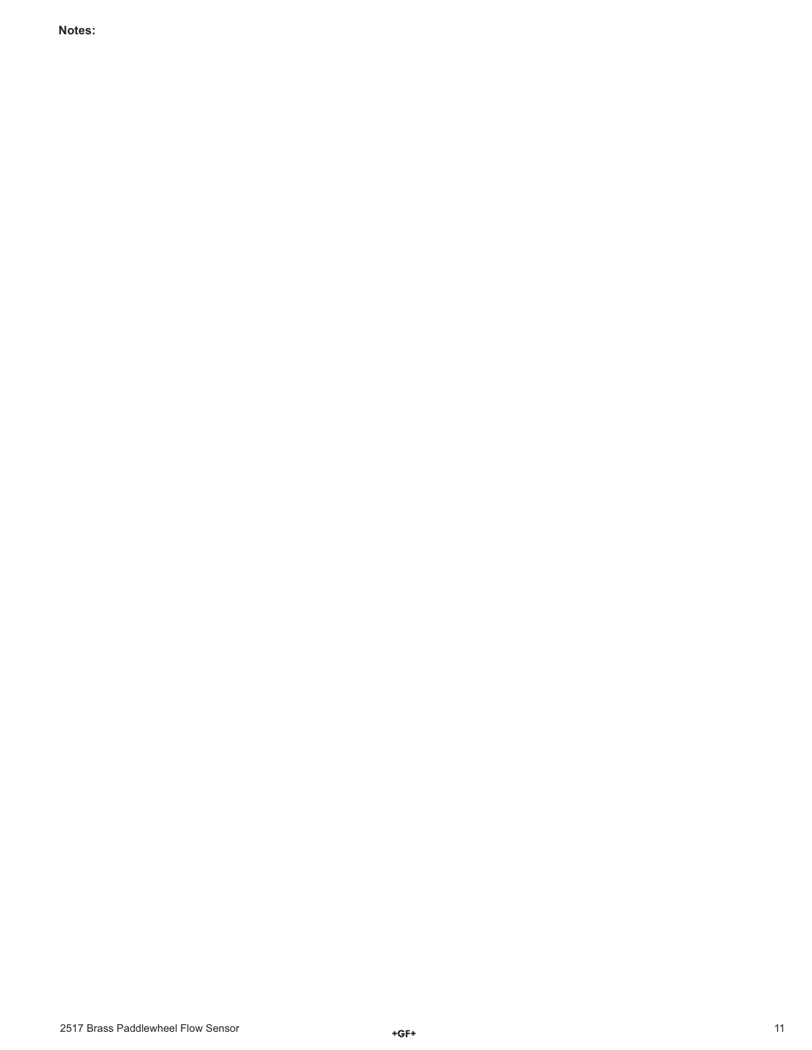**Notes:**